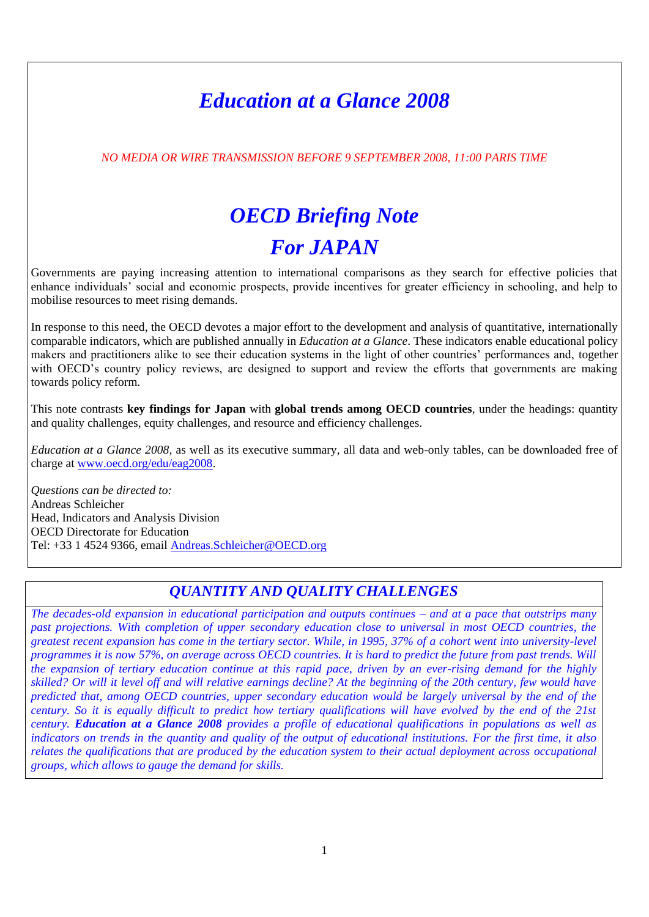# *Education at a Glance 2008*

*NO MEDIA OR WIRE TRANSMISSION BEFORE 9 SEPTEMBER 2008, 11:00 PARIS TIME*

# *OECD Briefing Note For JAPAN*

Governments are paying increasing attention to international comparisons as they search for effective policies that enhance individuals" social and economic prospects, provide incentives for greater efficiency in schooling, and help to mobilise resources to meet rising demands.

In response to this need, the OECD devotes a major effort to the development and analysis of quantitative, internationally comparable indicators, which are published annually in *Education at a Glance*. These indicators enable educational policy makers and practitioners alike to see their education systems in the light of other countries" performances and, together with OECD's country policy reviews, are designed to support and review the efforts that governments are making towards policy reform.

This note contrasts **key findings for Japan** with **global trends among OECD countries**, under the headings: quantity and quality challenges, equity challenges, and resource and efficiency challenges.

*Education at a Glance 2008,* as well as its executive summary, all data and web-only tables, can be downloaded free of charge at [www.oecd.org/edu/eag2008.](http://www.oecd.org/edu/eag2008)

*Questions can be directed to:* Andreas Schleicher Head, Indicators and Analysis Division OECD Directorate for Education Tel: +33 1 4524 9366, email [Andreas.Schleicher@OECD.org](mailto:Andreas.Schleicher@OECD.org)

## *QUANTITY AND QUALITY CHALLENGES*

*The decades-old expansion in educational participation and outputs continues – and at a pace that outstrips many past projections. With completion of upper secondary education close to universal in most OECD countries, the greatest recent expansion has come in the tertiary sector. While, in 1995, 37% of a cohort went into university-level programmes it is now 57%, on average across OECD countries. It is hard to predict the future from past trends. Will the expansion of tertiary education continue at this rapid pace, driven by an ever-rising demand for the highly skilled? Or will it level off and will relative earnings decline? At the beginning of the 20th century, few would have predicted that, among OECD countries, upper secondary education would be largely universal by the end of the century. So it is equally difficult to predict how tertiary qualifications will have evolved by the end of the 21st century. Education at a Glance 2008 provides a profile of educational qualifications in populations as well as indicators on trends in the quantity and quality of the output of educational institutions. For the first time, it also relates the qualifications that are produced by the education system to their actual deployment across occupational groups, which allows to gauge the demand for skills.*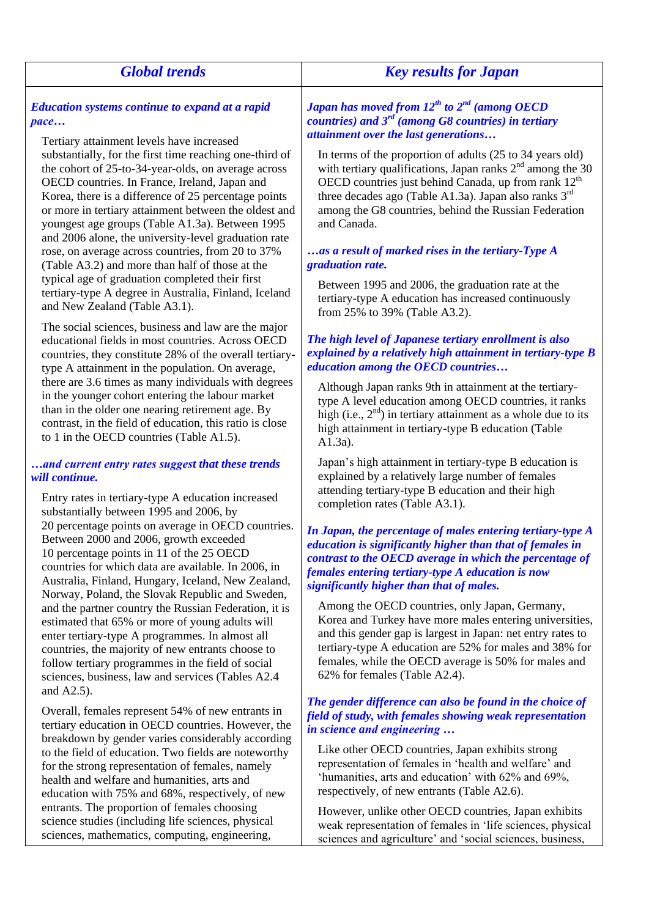## *Global trends Key results for Japan Education systems continue to expand at a rapid pace… Japan has moved from 12 th to 2 nd (among OECD*

Tertiary attainment levels have increased substantially, for the first time reaching one-third of the cohort of 25-to-34-year-olds, on average across OECD countries. In France, Ireland, Japan and Korea, there is a difference of 25 percentage points or more in tertiary attainment between the oldest and youngest age groups (Table A1.3a). Between 1995 and 2006 alone, the university-level graduation rate rose, on average across countries, from 20 to 37% (Table A3.2) and more than half of those at the typical age of graduation completed their first tertiary-type A degree in Australia, Finland, Iceland and New Zealand (Table A3.1).

The social sciences, business and law are the major educational fields in most countries. Across OECD countries, they constitute 28% of the overall tertiarytype A attainment in the population. On average, there are 3.6 times as many individuals with degrees in the younger cohort entering the labour market than in the older one nearing retirement age. By contrast, in the field of education, this ratio is close to 1 in the OECD countries (Table A1.5).

## *…and current entry rates suggest that these trends will continue.*

Entry rates in tertiary-type A education increased substantially between 1995 and 2006, by 20 percentage points on average in OECD countries. Between 2000 and 2006, growth exceeded 10 percentage points in 11 of the 25 OECD countries for which data are available. In 2006, in Australia, Finland, Hungary, Iceland, New Zealand, Norway, Poland, the Slovak Republic and Sweden, and the partner country the Russian Federation, it is estimated that 65% or more of young adults will enter tertiary-type A programmes. In almost all countries, the majority of new entrants choose to follow tertiary programmes in the field of social sciences, business, law and services (Tables A2.4 and A2.5).

Overall, females represent 54% of new entrants in tertiary education in OECD countries. However, the breakdown by gender varies considerably according to the field of education. Two fields are noteworthy for the strong representation of females, namely health and welfare and humanities, arts and education with 75% and 68%, respectively, of new entrants. The proportion of females choosing science studies (including life sciences, physical sciences, mathematics, computing, engineering,

*countries) and 3rd (among G8 countries) in tertiary attainment over the last generations…*

In terms of the proportion of adults (25 to 34 years old) with tertiary qualifications, Japan ranks  $2<sup>nd</sup>$  among the 30 OECD countries just behind Canada, up from rank  $12<sup>th</sup>$ three decades ago (Table A1.3a). Japan also ranks  $3^{rd}$ among the G8 countries, behind the Russian Federation and Canada.

## *…as a result of marked rises in the tertiary-Type A graduation rate.*

Between 1995 and 2006, the graduation rate at the tertiary-type A education has increased continuously from 25% to 39% (Table A3.2).

## *The high level of Japanese tertiary enrollment is also explained by a relatively high attainment in tertiary-type B education among the OECD countries…*

Although Japan ranks 9th in attainment at the tertiarytype A level education among OECD countries, it ranks high (i.e.,  $2<sup>nd</sup>$ ) in tertiary attainment as a whole due to its high attainment in tertiary-type B education (Table A1.3a).

Japan"s high attainment in tertiary-type B education is explained by a relatively large number of females attending tertiary-type B education and their high completion rates (Table A3.1).

*In Japan, the percentage of males entering tertiary-type A education is significantly higher than that of females in contrast to the OECD average in which the percentage of females entering tertiary-type A education is now significantly higher than that of males.*

Among the OECD countries, only Japan, Germany, Korea and Turkey have more males entering universities, and this gender gap is largest in Japan: net entry rates to tertiary-type A education are 52% for males and 38% for females, while the OECD average is 50% for males and 62% for females (Table A2.4).

#### *The gender difference can also be found in the choice of field of study, with females showing weak representation in science and engineering …*

Like other OECD countries, Japan exhibits strong representation of females in "health and welfare" and "humanities, arts and education" with 62% and 69%, respectively, of new entrants (Table A2.6).

However, unlike other OECD countries, Japan exhibits weak representation of females in "life sciences, physical sciences and agriculture' and 'social sciences, business,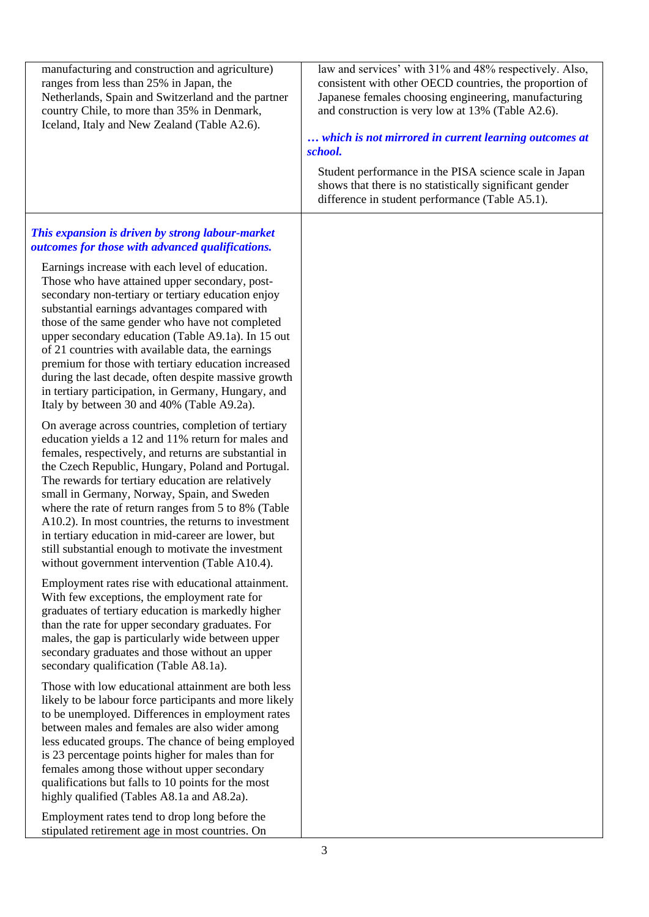| manufacturing and construction and agriculture)<br>ranges from less than 25% in Japan, the<br>Netherlands, Spain and Switzerland and the partner<br>country Chile, to more than 35% in Denmark,<br>Iceland, Italy and New Zealand (Table A2.6).                                                                                                                                                                                                                                                                                                                                                                                                                                                                                                                                                                                                                                                                                                                                                                                                                                                                                                                                                                                                                                                                                                                                                                                                                                                                                                                                                                                                                                                                                                                                                                                                        | law and services' with 31% and 48% respectively. Also,<br>consistent with other OECD countries, the proportion of<br>Japanese females choosing engineering, manufacturing<br>and construction is very low at 13% (Table A2.6).<br>which is not mirrored in current learning outcomes at<br>school.<br>Student performance in the PISA science scale in Japan<br>shows that there is no statistically significant gender<br>difference in student performance (Table A5.1). |
|--------------------------------------------------------------------------------------------------------------------------------------------------------------------------------------------------------------------------------------------------------------------------------------------------------------------------------------------------------------------------------------------------------------------------------------------------------------------------------------------------------------------------------------------------------------------------------------------------------------------------------------------------------------------------------------------------------------------------------------------------------------------------------------------------------------------------------------------------------------------------------------------------------------------------------------------------------------------------------------------------------------------------------------------------------------------------------------------------------------------------------------------------------------------------------------------------------------------------------------------------------------------------------------------------------------------------------------------------------------------------------------------------------------------------------------------------------------------------------------------------------------------------------------------------------------------------------------------------------------------------------------------------------------------------------------------------------------------------------------------------------------------------------------------------------------------------------------------------------|----------------------------------------------------------------------------------------------------------------------------------------------------------------------------------------------------------------------------------------------------------------------------------------------------------------------------------------------------------------------------------------------------------------------------------------------------------------------------|
| This expansion is driven by strong labour-market<br>outcomes for those with advanced qualifications.<br>Earnings increase with each level of education.<br>Those who have attained upper secondary, post-<br>secondary non-tertiary or tertiary education enjoy<br>substantial earnings advantages compared with<br>those of the same gender who have not completed<br>upper secondary education (Table A9.1a). In 15 out<br>of 21 countries with available data, the earnings<br>premium for those with tertiary education increased<br>during the last decade, often despite massive growth<br>in tertiary participation, in Germany, Hungary, and<br>Italy by between 30 and 40% (Table A9.2a).<br>On average across countries, completion of tertiary<br>education yields a 12 and 11% return for males and<br>females, respectively, and returns are substantial in<br>the Czech Republic, Hungary, Poland and Portugal.<br>The rewards for tertiary education are relatively<br>small in Germany, Norway, Spain, and Sweden<br>where the rate of return ranges from 5 to 8% (Table<br>A10.2). In most countries, the returns to investment<br>in tertiary education in mid-career are lower, but<br>still substantial enough to motivate the investment<br>without government intervention (Table A10.4).<br>Employment rates rise with educational attainment.<br>With few exceptions, the employment rate for<br>graduates of tertiary education is markedly higher<br>than the rate for upper secondary graduates. For<br>males, the gap is particularly wide between upper<br>secondary graduates and those without an upper<br>secondary qualification (Table A8.1a).<br>Those with low educational attainment are both less<br>likely to be labour force participants and more likely<br>to be unemployed. Differences in employment rates |                                                                                                                                                                                                                                                                                                                                                                                                                                                                            |
| between males and females are also wider among<br>less educated groups. The chance of being employed<br>is 23 percentage points higher for males than for<br>females among those without upper secondary<br>qualifications but falls to 10 points for the most<br>highly qualified (Tables A8.1a and A8.2a).<br>Employment rates tend to drop long before the<br>stipulated retirement age in most countries. On                                                                                                                                                                                                                                                                                                                                                                                                                                                                                                                                                                                                                                                                                                                                                                                                                                                                                                                                                                                                                                                                                                                                                                                                                                                                                                                                                                                                                                       |                                                                                                                                                                                                                                                                                                                                                                                                                                                                            |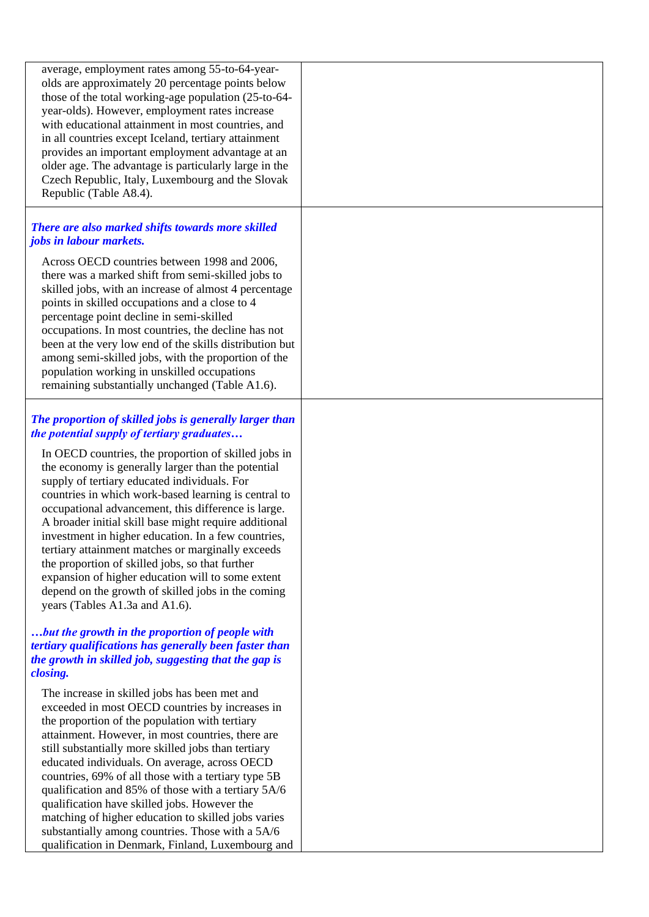| average, employment rates among 55-to-64-year-<br>olds are approximately 20 percentage points below<br>those of the total working-age population (25-to-64-<br>year-olds). However, employment rates increase<br>with educational attainment in most countries, and<br>in all countries except Iceland, tertiary attainment<br>provides an important employment advantage at an<br>older age. The advantage is particularly large in the<br>Czech Republic, Italy, Luxembourg and the Slovak<br>Republic (Table A8.4).                                                                                                                         |  |
|------------------------------------------------------------------------------------------------------------------------------------------------------------------------------------------------------------------------------------------------------------------------------------------------------------------------------------------------------------------------------------------------------------------------------------------------------------------------------------------------------------------------------------------------------------------------------------------------------------------------------------------------|--|
| There are also marked shifts towards more skilled<br><i>jobs in labour markets.</i>                                                                                                                                                                                                                                                                                                                                                                                                                                                                                                                                                            |  |
| Across OECD countries between 1998 and 2006,<br>there was a marked shift from semi-skilled jobs to<br>skilled jobs, with an increase of almost 4 percentage<br>points in skilled occupations and a close to 4<br>percentage point decline in semi-skilled<br>occupations. In most countries, the decline has not<br>been at the very low end of the skills distribution but<br>among semi-skilled jobs, with the proportion of the<br>population working in unskilled occupations<br>remaining substantially unchanged (Table A1.6).                                                                                                           |  |
| The proportion of skilled jobs is generally larger than<br>the potential supply of tertiary graduates                                                                                                                                                                                                                                                                                                                                                                                                                                                                                                                                          |  |
| In OECD countries, the proportion of skilled jobs in<br>the economy is generally larger than the potential<br>supply of tertiary educated individuals. For<br>countries in which work-based learning is central to<br>occupational advancement, this difference is large.<br>A broader initial skill base might require additional<br>investment in higher education. In a few countries,<br>tertiary attainment matches or marginally exceeds<br>the proportion of skilled jobs, so that further<br>expansion of higher education will to some extent<br>depend on the growth of skilled jobs in the coming<br>years (Tables A1.3a and A1.6). |  |
| but the growth in the proportion of people with<br>tertiary qualifications has generally been faster than<br>the growth in skilled job, suggesting that the gap is<br>closing.                                                                                                                                                                                                                                                                                                                                                                                                                                                                 |  |
| The increase in skilled jobs has been met and<br>exceeded in most OECD countries by increases in<br>the proportion of the population with tertiary<br>attainment. However, in most countries, there are<br>still substantially more skilled jobs than tertiary<br>educated individuals. On average, across OECD<br>countries, 69% of all those with a tertiary type 5B<br>qualification and 85% of those with a tertiary 5A/6<br>qualification have skilled jobs. However the<br>matching of higher education to skilled jobs varies<br>substantially among countries. Those with a 5A/6<br>qualification in Denmark, Finland, Luxembourg and  |  |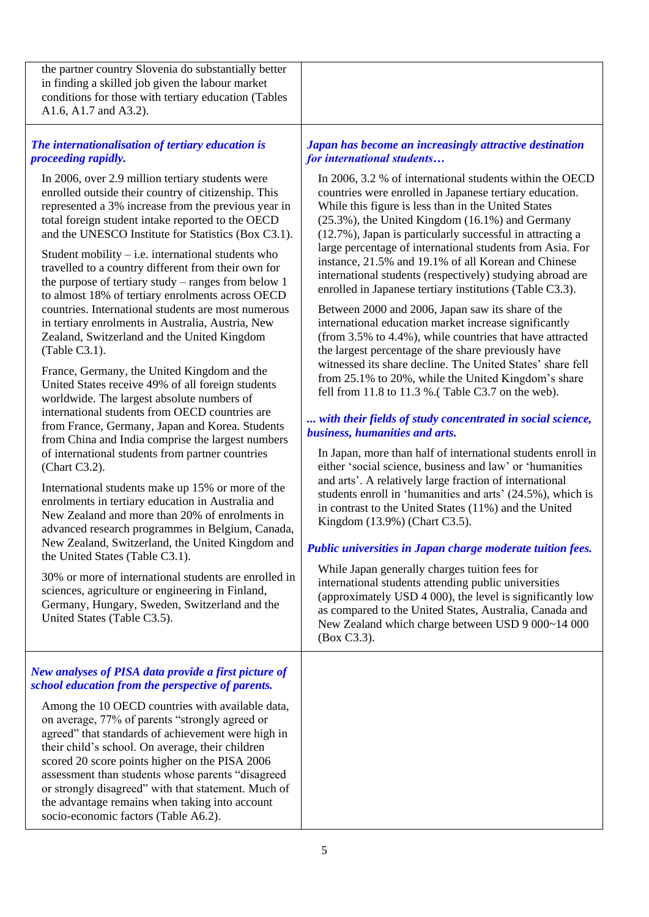the partner country Slovenia do substantially better in finding a skilled job given the labour market conditions for those with tertiary education (Tables A1.6, A1.7 and A3.2).

## *The internationalisation of tertiary education is proceeding rapidly.*

In 2006, over 2.9 million tertiary students were enrolled outside their country of citizenship. This represented a 3% increase from the previous year in total foreign student intake reported to the OECD and the UNESCO Institute for Statistics (Box C3.1).

Student mobility  $-$  i.e. international students who travelled to a country different from their own for the purpose of tertiary study – ranges from below 1 to almost 18% of tertiary enrolments across OECD countries. International students are most numerous in tertiary enrolments in Australia, Austria, New Zealand, Switzerland and the United Kingdom (Table C3.1).

France, Germany, the United Kingdom and the United States receive 49% of all foreign students worldwide. The largest absolute numbers of international students from OECD countries are from France, Germany, Japan and Korea. Students from China and India comprise the largest numbers of international students from partner countries (Chart C3.2).

International students make up 15% or more of the enrolments in tertiary education in Australia and New Zealand and more than 20% of enrolments in advanced research programmes in Belgium, Canada, New Zealand, Switzerland, the United Kingdom and the United States (Table C3.1).

30% or more of international students are enrolled in sciences, agriculture or engineering in Finland, Germany, Hungary, Sweden, Switzerland and the United States (Table C3.5).

## *New analyses of PISA data provide a first picture of school education from the perspective of parents.*

Among the 10 OECD countries with available data, on average, 77% of parents "strongly agreed or agreed" that standards of achievement were high in their child"s school. On average, their children scored 20 score points higher on the PISA 2006 assessment than students whose parents "disagreed or strongly disagreed" with that statement. Much of the advantage remains when taking into account socio-economic factors (Table A6.2).

*Japan has become an increasingly attractive destination for international students…*

In 2006, 3.2 % of international students within the OECD countries were enrolled in Japanese tertiary education. While this figure is less than in the United States (25.3%), the United Kingdom (16.1%) and Germany (12.7%), Japan is particularly successful in attracting a large percentage of international students from Asia. For instance, 21.5% and 19.1% of all Korean and Chinese international students (respectively) studying abroad are enrolled in Japanese tertiary institutions (Table C3.3).

Between 2000 and 2006, Japan saw its share of the international education market increase significantly (from 3.5% to 4.4%), while countries that have attracted the largest percentage of the share previously have witnessed its share decline. The United States' share fell from 25.1% to 20%, while the United Kingdom"s share fell from 11.8 to 11.3 %.( Table C3.7 on the web).

## *... with their fields of study concentrated in social science, business, humanities and arts.*

In Japan, more than half of international students enroll in either "social science, business and law" or "humanities and arts". A relatively large fraction of international students enroll in 'humanities and arts' (24.5%), which is in contrast to the United States (11%) and the United Kingdom (13.9%) (Chart C3.5).

## *Public universities in Japan charge moderate tuition fees.*

While Japan generally charges tuition fees for international students attending public universities (approximately USD 4 000), the level is significantly low as compared to the United States, Australia, Canada and New Zealand which charge between USD 9 000~14 000 (Box C3.3).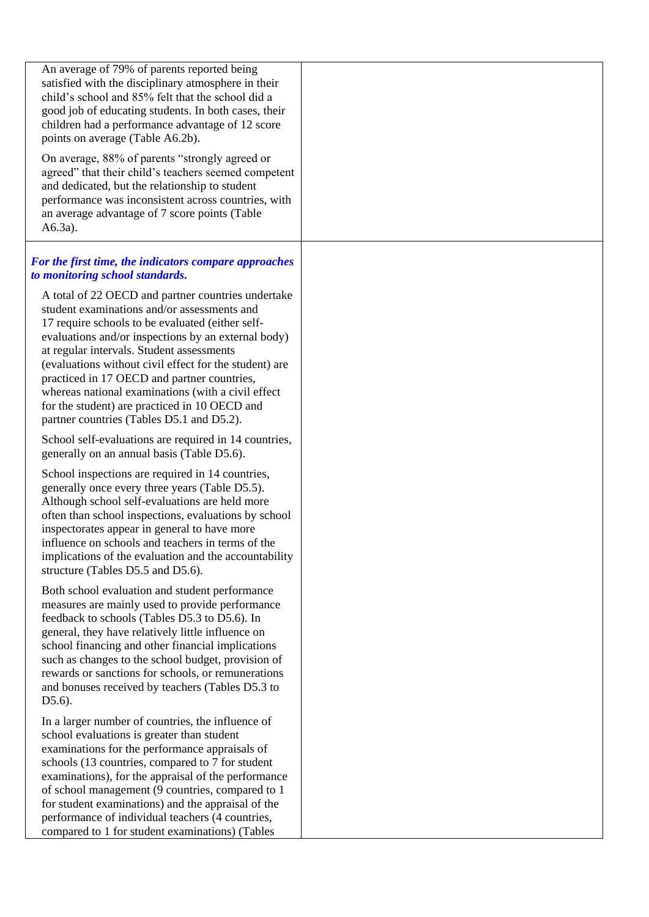| An average of 79% of parents reported being<br>satisfied with the disciplinary atmosphere in their<br>child's school and 85% felt that the school did a<br>good job of educating students. In both cases, their<br>children had a performance advantage of 12 score<br>points on average (Table A6.2b).<br>On average, 88% of parents "strongly agreed or<br>agreed" that their child's teachers seemed competent                                                                                                      |  |
|------------------------------------------------------------------------------------------------------------------------------------------------------------------------------------------------------------------------------------------------------------------------------------------------------------------------------------------------------------------------------------------------------------------------------------------------------------------------------------------------------------------------|--|
| and dedicated, but the relationship to student<br>performance was inconsistent across countries, with<br>an average advantage of 7 score points (Table<br>$A6.3a$ ).                                                                                                                                                                                                                                                                                                                                                   |  |
| For the first time, the indicators compare approaches<br>to monitoring school standards.                                                                                                                                                                                                                                                                                                                                                                                                                               |  |
| A total of 22 OECD and partner countries undertake<br>student examinations and/or assessments and<br>17 require schools to be evaluated (either self-<br>evaluations and/or inspections by an external body)<br>at regular intervals. Student assessments<br>(evaluations without civil effect for the student) are<br>practiced in 17 OECD and partner countries,<br>whereas national examinations (with a civil effect<br>for the student) are practiced in 10 OECD and<br>partner countries (Tables D5.1 and D5.2). |  |
| School self-evaluations are required in 14 countries,<br>generally on an annual basis (Table D5.6).                                                                                                                                                                                                                                                                                                                                                                                                                    |  |
| School inspections are required in 14 countries,<br>generally once every three years (Table D5.5).<br>Although school self-evaluations are held more<br>often than school inspections, evaluations by school<br>inspectorates appear in general to have more<br>influence on schools and teachers in terms of the<br>implications of the evaluation and the accountability<br>structure (Tables D5.5 and D5.6).                                                                                                        |  |
| Both school evaluation and student performance<br>measures are mainly used to provide performance<br>feedback to schools (Tables D5.3 to D5.6). In<br>general, they have relatively little influence on<br>school financing and other financial implications<br>such as changes to the school budget, provision of<br>rewards or sanctions for schools, or remunerations<br>and bonuses received by teachers (Tables D5.3 to<br>$D5.6$ ).                                                                              |  |
| In a larger number of countries, the influence of<br>school evaluations is greater than student<br>examinations for the performance appraisals of<br>schools (13 countries, compared to 7 for student<br>examinations), for the appraisal of the performance<br>of school management (9 countries, compared to 1<br>for student examinations) and the appraisal of the<br>performance of individual teachers (4 countries,<br>compared to 1 for student examinations) (Tables                                          |  |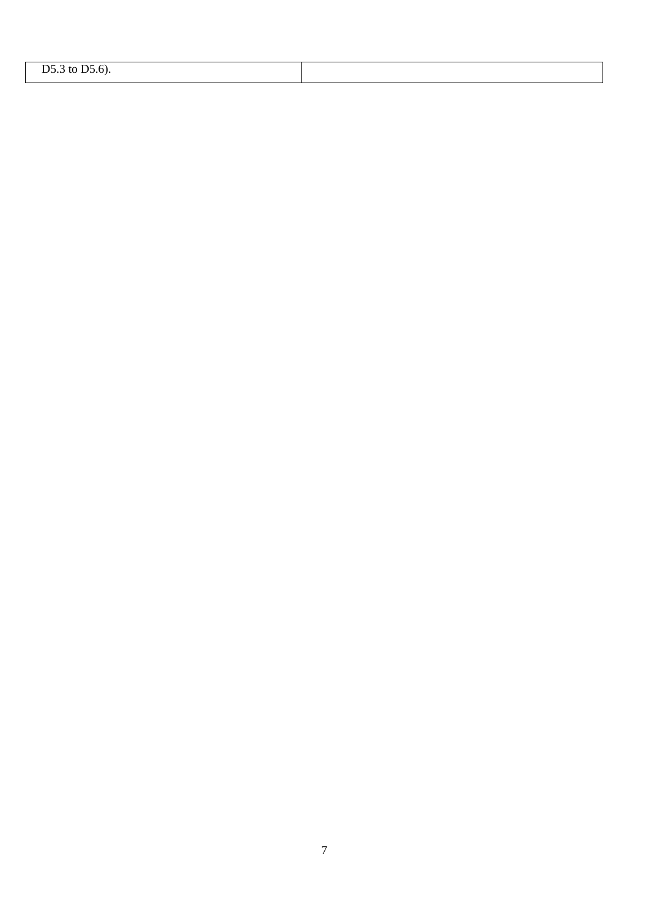| $\sim$ $\sim$<br>$\leftarrow$<br>ינ<br>. |  |
|------------------------------------------|--|
|                                          |  |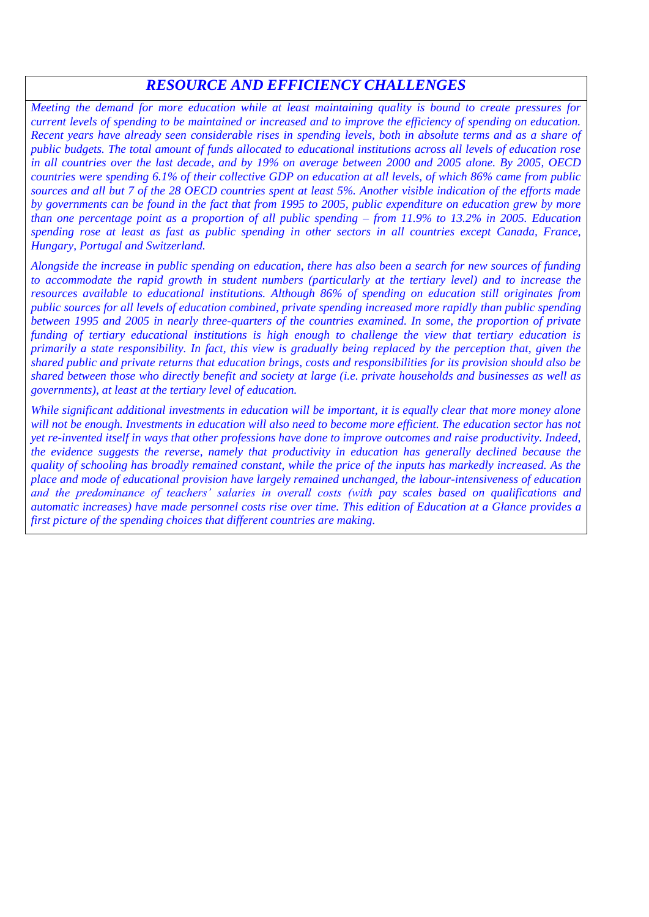## *RESOURCE AND EFFICIENCY CHALLENGES*

*Meeting the demand for more education while at least maintaining quality is bound to create pressures for current levels of spending to be maintained or increased and to improve the efficiency of spending on education. Recent years have already seen considerable rises in spending levels, both in absolute terms and as a share of public budgets. The total amount of funds allocated to educational institutions across all levels of education rose in all countries over the last decade, and by 19% on average between 2000 and 2005 alone. By 2005, OECD countries were spending 6.1% of their collective GDP on education at all levels, of which 86% came from public sources and all but 7 of the 28 OECD countries spent at least 5%. Another visible indication of the efforts made by governments can be found in the fact that from 1995 to 2005, public expenditure on education grew by more than one percentage point as a proportion of all public spending – from 11.9% to 13.2% in 2005. Education spending rose at least as fast as public spending in other sectors in all countries except Canada, France, Hungary, Portugal and Switzerland.*

*Alongside the increase in public spending on education, there has also been a search for new sources of funding to accommodate the rapid growth in student numbers (particularly at the tertiary level) and to increase the resources available to educational institutions. Although 86% of spending on education still originates from public sources for all levels of education combined, private spending increased more rapidly than public spending between 1995 and 2005 in nearly three-quarters of the countries examined. In some, the proportion of private funding of tertiary educational institutions is high enough to challenge the view that tertiary education is primarily a state responsibility. In fact, this view is gradually being replaced by the perception that, given the shared public and private returns that education brings, costs and responsibilities for its provision should also be shared between those who directly benefit and society at large (i.e. private households and businesses as well as governments), at least at the tertiary level of education.*

*While significant additional investments in education will be important, it is equally clear that more money alone will not be enough. Investments in education will also need to become more efficient. The education sector has not yet re-invented itself in ways that other professions have done to improve outcomes and raise productivity. Indeed, the evidence suggests the reverse, namely that productivity in education has generally declined because the quality of schooling has broadly remained constant, while the price of the inputs has markedly increased. As the place and mode of educational provision have largely remained unchanged, the labour-intensiveness of education and the predominance of teachers' salaries in overall costs (with pay scales based on qualifications and automatic increases) have made personnel costs rise over time. This edition of Education at a Glance provides a first picture of the spending choices that different countries are making.*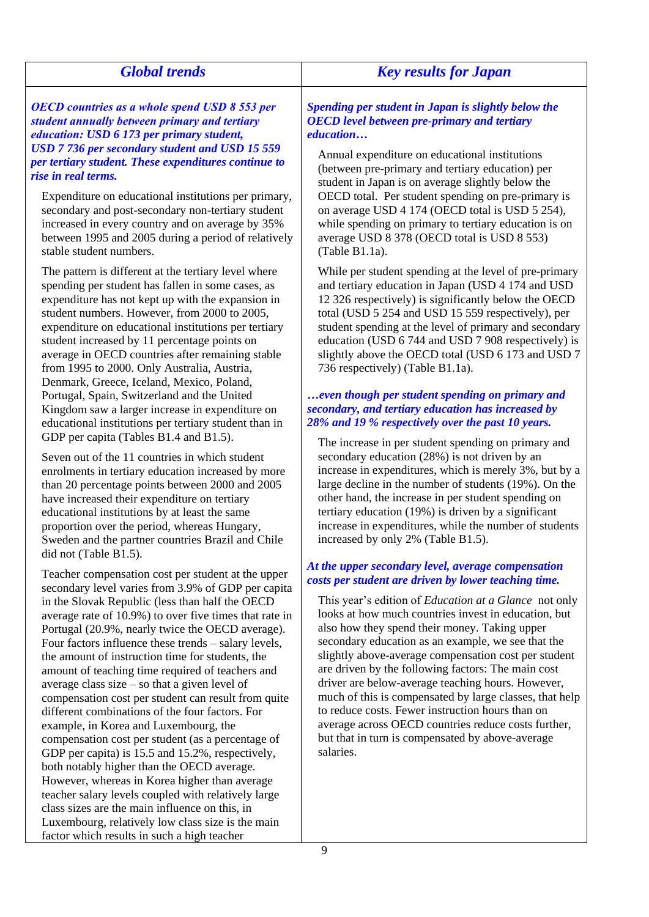| <b>Global trends</b>                                                                                                                                                                                                                                                                                                                                                                                                                                                   | <b>Key results for Japan</b>                                                                                                                                                                                                                                                                                                                                                                                                          |
|------------------------------------------------------------------------------------------------------------------------------------------------------------------------------------------------------------------------------------------------------------------------------------------------------------------------------------------------------------------------------------------------------------------------------------------------------------------------|---------------------------------------------------------------------------------------------------------------------------------------------------------------------------------------------------------------------------------------------------------------------------------------------------------------------------------------------------------------------------------------------------------------------------------------|
| <b>OECD</b> countries as a whole spend USD 8 553 per                                                                                                                                                                                                                                                                                                                                                                                                                   | Spending per student in Japan is slightly below the                                                                                                                                                                                                                                                                                                                                                                                   |
| student annually between primary and tertiary                                                                                                                                                                                                                                                                                                                                                                                                                          | <b>OECD</b> level between pre-primary and tertiary                                                                                                                                                                                                                                                                                                                                                                                    |
| education: USD 6 173 per primary student,                                                                                                                                                                                                                                                                                                                                                                                                                              | education                                                                                                                                                                                                                                                                                                                                                                                                                             |
| USD 7 736 per secondary student and USD 15 559                                                                                                                                                                                                                                                                                                                                                                                                                         | Annual expenditure on educational institutions                                                                                                                                                                                                                                                                                                                                                                                        |
| per tertiary student. These expenditures continue to                                                                                                                                                                                                                                                                                                                                                                                                                   | (between pre-primary and tertiary education) per                                                                                                                                                                                                                                                                                                                                                                                      |
| rise in real terms.                                                                                                                                                                                                                                                                                                                                                                                                                                                    | student in Japan is on average slightly below the                                                                                                                                                                                                                                                                                                                                                                                     |
| Expenditure on educational institutions per primary,                                                                                                                                                                                                                                                                                                                                                                                                                   | OECD total. Per student spending on pre-primary is                                                                                                                                                                                                                                                                                                                                                                                    |
| secondary and post-secondary non-tertiary student                                                                                                                                                                                                                                                                                                                                                                                                                      | on average USD 4 174 (OECD total is USD 5 254),                                                                                                                                                                                                                                                                                                                                                                                       |
| increased in every country and on average by 35%                                                                                                                                                                                                                                                                                                                                                                                                                       | while spending on primary to tertiary education is on                                                                                                                                                                                                                                                                                                                                                                                 |
| between 1995 and 2005 during a period of relatively                                                                                                                                                                                                                                                                                                                                                                                                                    | average USD 8 378 (OECD total is USD 8 553)                                                                                                                                                                                                                                                                                                                                                                                           |
| stable student numbers.                                                                                                                                                                                                                                                                                                                                                                                                                                                | $(Table B1.1a)$ .                                                                                                                                                                                                                                                                                                                                                                                                                     |
| The pattern is different at the tertiary level where<br>spending per student has fallen in some cases, as<br>expenditure has not kept up with the expansion in<br>student numbers. However, from 2000 to 2005,<br>expenditure on educational institutions per tertiary<br>student increased by 11 percentage points on<br>average in OECD countries after remaining stable<br>from 1995 to 2000. Only Australia, Austria,<br>Denmark, Greece, Iceland, Mexico, Poland, | While per student spending at the level of pre-primary<br>and tertiary education in Japan (USD 4 174 and USD<br>12 326 respectively) is significantly below the OECD<br>total (USD 5 254 and USD 15 559 respectively), per<br>student spending at the level of primary and secondary<br>education (USD 6 744 and USD 7 908 respectively) is<br>slightly above the OECD total (USD 6 173 and USD 7<br>736 respectively) (Table B1.1a). |
| Portugal, Spain, Switzerland and the United<br>Kingdom saw a larger increase in expenditure on<br>educational institutions per tertiary student than in<br>GDP per capita (Tables B1.4 and B1.5).                                                                                                                                                                                                                                                                      | even though per student spending on primary and<br>secondary, and tertiary education has increased by<br>28% and 19 % respectively over the past 10 years.                                                                                                                                                                                                                                                                            |
| Seven out of the 11 countries in which student                                                                                                                                                                                                                                                                                                                                                                                                                         | The increase in per student spending on primary and                                                                                                                                                                                                                                                                                                                                                                                   |
| enrolments in tertiary education increased by more                                                                                                                                                                                                                                                                                                                                                                                                                     | secondary education (28%) is not driven by an                                                                                                                                                                                                                                                                                                                                                                                         |
| than 20 percentage points between 2000 and 2005                                                                                                                                                                                                                                                                                                                                                                                                                        | increase in expenditures, which is merely 3%, but by a                                                                                                                                                                                                                                                                                                                                                                                |
| have increased their expenditure on tertiary                                                                                                                                                                                                                                                                                                                                                                                                                           | large decline in the number of students (19%). On the                                                                                                                                                                                                                                                                                                                                                                                 |
| educational institutions by at least the same                                                                                                                                                                                                                                                                                                                                                                                                                          | other hand, the increase in per student spending on                                                                                                                                                                                                                                                                                                                                                                                   |
| proportion over the period, whereas Hungary,                                                                                                                                                                                                                                                                                                                                                                                                                           | tertiary education (19%) is driven by a significant                                                                                                                                                                                                                                                                                                                                                                                   |
| Sweden and the partner countries Brazil and Chile                                                                                                                                                                                                                                                                                                                                                                                                                      | increase in expenditures, while the number of students                                                                                                                                                                                                                                                                                                                                                                                |
| did not (Table B1.5).                                                                                                                                                                                                                                                                                                                                                                                                                                                  | increased by only 2% (Table B1.5).                                                                                                                                                                                                                                                                                                                                                                                                    |
| Teacher compensation cost per student at the upper                                                                                                                                                                                                                                                                                                                                                                                                                     | At the upper secondary level, average compensation                                                                                                                                                                                                                                                                                                                                                                                    |
| secondary level varies from 3.9% of GDP per capita                                                                                                                                                                                                                                                                                                                                                                                                                     | costs per student are driven by lower teaching time.                                                                                                                                                                                                                                                                                                                                                                                  |
| in the Slovak Republic (less than half the OECD                                                                                                                                                                                                                                                                                                                                                                                                                        | This year's edition of <i>Education at a Glance</i> not only                                                                                                                                                                                                                                                                                                                                                                          |
| average rate of 10.9%) to over five times that rate in                                                                                                                                                                                                                                                                                                                                                                                                                 | looks at how much countries invest in education, but                                                                                                                                                                                                                                                                                                                                                                                  |
| Portugal (20.9%, nearly twice the OECD average).                                                                                                                                                                                                                                                                                                                                                                                                                       | also how they spend their money. Taking upper                                                                                                                                                                                                                                                                                                                                                                                         |
| Four factors influence these trends – salary levels,                                                                                                                                                                                                                                                                                                                                                                                                                   | secondary education as an example, we see that the                                                                                                                                                                                                                                                                                                                                                                                    |
| the amount of instruction time for students, the                                                                                                                                                                                                                                                                                                                                                                                                                       | slightly above-average compensation cost per student                                                                                                                                                                                                                                                                                                                                                                                  |
| amount of teaching time required of teachers and                                                                                                                                                                                                                                                                                                                                                                                                                       | are driven by the following factors: The main cost                                                                                                                                                                                                                                                                                                                                                                                    |
| average class size $-$ so that a given level of                                                                                                                                                                                                                                                                                                                                                                                                                        | driver are below-average teaching hours. However,                                                                                                                                                                                                                                                                                                                                                                                     |
| compensation cost per student can result from quite                                                                                                                                                                                                                                                                                                                                                                                                                    | much of this is compensated by large classes, that help                                                                                                                                                                                                                                                                                                                                                                               |
| different combinations of the four factors. For                                                                                                                                                                                                                                                                                                                                                                                                                        | to reduce costs. Fewer instruction hours than on                                                                                                                                                                                                                                                                                                                                                                                      |
| example, in Korea and Luxembourg, the                                                                                                                                                                                                                                                                                                                                                                                                                                  | average across OECD countries reduce costs further,                                                                                                                                                                                                                                                                                                                                                                                   |
| compensation cost per student (as a percentage of                                                                                                                                                                                                                                                                                                                                                                                                                      | but that in turn is compensated by above-average                                                                                                                                                                                                                                                                                                                                                                                      |
| GDP per capita) is 15.5 and 15.2%, respectively,<br>both notably higher than the OECD average.<br>However, whereas in Korea higher than average                                                                                                                                                                                                                                                                                                                        | salaries.                                                                                                                                                                                                                                                                                                                                                                                                                             |

teacher salary levels coupled with relatively large class sizes are the main influence on this, in Luxembourg, relatively low class size is the main

factor which results in such a high teacher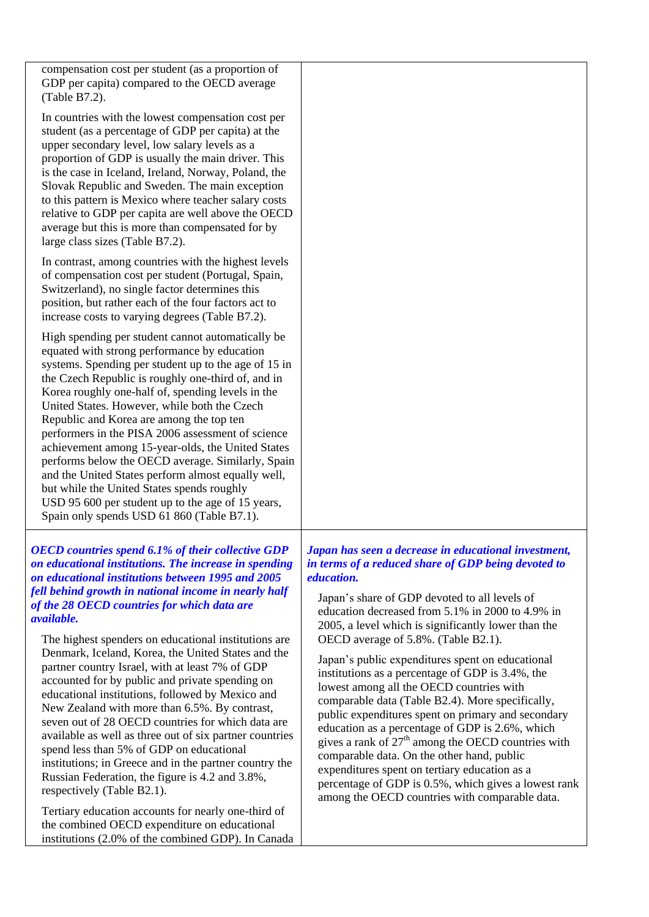| compensation cost per student (as a proportion of<br>GDP per capita) compared to the OECD average<br>(Table B7.2).                                                                                                                                                                                                                                                                                                                                                                                                                                                                                                                                                                                                                                                                                                                                                                                                                 |                                                                                                                                                                                                                                                                                                                                                                                                                                                                                                                                                                                                                                                                                                                                                                                                                                                                                                                       |
|------------------------------------------------------------------------------------------------------------------------------------------------------------------------------------------------------------------------------------------------------------------------------------------------------------------------------------------------------------------------------------------------------------------------------------------------------------------------------------------------------------------------------------------------------------------------------------------------------------------------------------------------------------------------------------------------------------------------------------------------------------------------------------------------------------------------------------------------------------------------------------------------------------------------------------|-----------------------------------------------------------------------------------------------------------------------------------------------------------------------------------------------------------------------------------------------------------------------------------------------------------------------------------------------------------------------------------------------------------------------------------------------------------------------------------------------------------------------------------------------------------------------------------------------------------------------------------------------------------------------------------------------------------------------------------------------------------------------------------------------------------------------------------------------------------------------------------------------------------------------|
| In countries with the lowest compensation cost per<br>student (as a percentage of GDP per capita) at the<br>upper secondary level, low salary levels as a<br>proportion of GDP is usually the main driver. This<br>is the case in Iceland, Ireland, Norway, Poland, the<br>Slovak Republic and Sweden. The main exception<br>to this pattern is Mexico where teacher salary costs<br>relative to GDP per capita are well above the OECD<br>average but this is more than compensated for by<br>large class sizes (Table B7.2).                                                                                                                                                                                                                                                                                                                                                                                                     |                                                                                                                                                                                                                                                                                                                                                                                                                                                                                                                                                                                                                                                                                                                                                                                                                                                                                                                       |
| In contrast, among countries with the highest levels<br>of compensation cost per student (Portugal, Spain,<br>Switzerland), no single factor determines this<br>position, but rather each of the four factors act to<br>increase costs to varying degrees (Table B7.2).                                                                                                                                                                                                                                                                                                                                                                                                                                                                                                                                                                                                                                                            |                                                                                                                                                                                                                                                                                                                                                                                                                                                                                                                                                                                                                                                                                                                                                                                                                                                                                                                       |
| High spending per student cannot automatically be<br>equated with strong performance by education<br>systems. Spending per student up to the age of 15 in<br>the Czech Republic is roughly one-third of, and in<br>Korea roughly one-half of, spending levels in the<br>United States. However, while both the Czech<br>Republic and Korea are among the top ten<br>performers in the PISA 2006 assessment of science<br>achievement among 15-year-olds, the United States<br>performs below the OECD average. Similarly, Spain<br>and the United States perform almost equally well,<br>but while the United States spends roughly<br>USD 95 600 per student up to the age of 15 years,<br>Spain only spends USD 61 860 (Table B7.1).                                                                                                                                                                                             |                                                                                                                                                                                                                                                                                                                                                                                                                                                                                                                                                                                                                                                                                                                                                                                                                                                                                                                       |
| <b>OECD</b> countries spend 6.1% of their collective GDP<br>on educational institutions. The increase in spending<br>on educational institutions between 1995 and 2005<br>fell behind growth in national income in nearly half<br>of the 28 OECD countries for which data are<br><i>available.</i><br>The highest spenders on educational institutions are<br>Denmark, Iceland, Korea, the United States and the<br>partner country Israel, with at least 7% of GDP<br>accounted for by public and private spending on<br>educational institutions, followed by Mexico and<br>New Zealand with more than 6.5%. By contrast,<br>seven out of 28 OECD countries for which data are<br>available as well as three out of six partner countries<br>spend less than 5% of GDP on educational<br>institutions; in Greece and in the partner country the<br>Russian Federation, the figure is 4.2 and 3.8%,<br>respectively (Table B2.1). | Japan has seen a decrease in educational investment,<br>in terms of a reduced share of GDP being devoted to<br><i>education.</i><br>Japan's share of GDP devoted to all levels of<br>education decreased from 5.1% in 2000 to 4.9% in<br>2005, a level which is significantly lower than the<br>OECD average of 5.8%. (Table B2.1).<br>Japan's public expenditures spent on educational<br>institutions as a percentage of GDP is 3.4%, the<br>lowest among all the OECD countries with<br>comparable data (Table B2.4). More specifically,<br>public expenditures spent on primary and secondary<br>education as a percentage of GDP is 2.6%, which<br>gives a rank of $27th$ among the OECD countries with<br>comparable data. On the other hand, public<br>expenditures spent on tertiary education as a<br>percentage of GDP is 0.5%, which gives a lowest rank<br>among the OECD countries with comparable data. |
| Tertiary education accounts for nearly one-third of                                                                                                                                                                                                                                                                                                                                                                                                                                                                                                                                                                                                                                                                                                                                                                                                                                                                                |                                                                                                                                                                                                                                                                                                                                                                                                                                                                                                                                                                                                                                                                                                                                                                                                                                                                                                                       |

the combined OECD expenditure on educational institutions (2.0% of the combined GDP). In Canada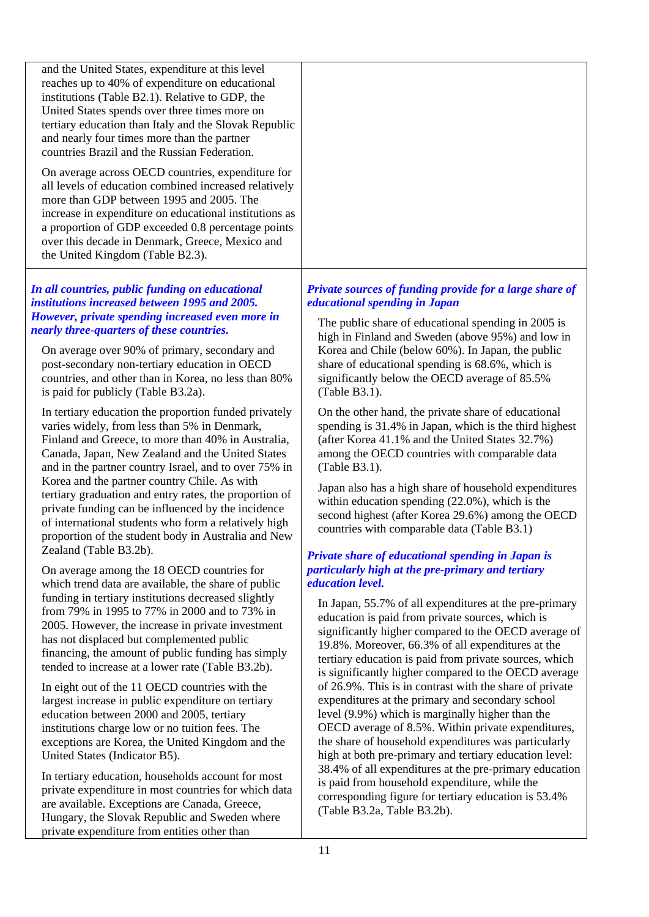and the United States, expenditure at this level reaches up to 40% of expenditure on educational institutions (Table B2.1). Relative to GDP, the United States spends over three times more on tertiary education than Italy and the Slovak Republic and nearly four times more than the partner countries Brazil and the Russian Federation.

On average across OECD countries, expenditure for all levels of education combined increased relatively more than GDP between 1995 and 2005. The increase in expenditure on educational institutions as a proportion of GDP exceeded 0.8 percentage points over this decade in Denmark, Greece, Mexico and the United Kingdom (Table B2.3).

## *In all countries, public funding on educational institutions increased between 1995 and 2005. However, private spending increased even more in nearly three-quarters of these countries.*

On average over 90% of primary, secondary and post-secondary non-tertiary education in OECD countries, and other than in Korea, no less than 80% is paid for publicly (Table B3.2a).

In tertiary education the proportion funded privately varies widely, from less than 5% in Denmark, Finland and Greece, to more than 40% in Australia, Canada, Japan, New Zealand and the United States and in the partner country Israel, and to over 75% in Korea and the partner country Chile. As with tertiary graduation and entry rates, the proportion of private funding can be influenced by the incidence of international students who form a relatively high proportion of the student body in Australia and New Zealand (Table B3.2b).

On average among the 18 OECD countries for which trend data are available, the share of public funding in tertiary institutions decreased slightly from 79% in 1995 to 77% in 2000 and to 73% in 2005. However, the increase in private investment has not displaced but complemented public financing, the amount of public funding has simply tended to increase at a lower rate (Table B3.2b).

In eight out of the 11 OECD countries with the largest increase in public expenditure on tertiary education between 2000 and 2005, tertiary institutions charge low or no tuition fees. The exceptions are Korea, the United Kingdom and the United States (Indicator B5).

In tertiary education, households account for most private expenditure in most countries for which data are available. Exceptions are Canada, Greece, Hungary, the Slovak Republic and Sweden where private expenditure from entities other than

## *Private sources of funding provide for a large share of educational spending in Japan*

The public share of educational spending in 2005 is high in Finland and Sweden (above 95%) and low in Korea and Chile (below 60%). In Japan, the public share of educational spending is 68.6%, which is significantly below the OECD average of 85.5% (Table B3.1).

On the other hand, the private share of educational spending is 31.4% in Japan, which is the third highest (after Korea 41.1% and the United States 32.7%) among the OECD countries with comparable data (Table B3.1).

Japan also has a high share of household expenditures within education spending (22.0%), which is the second highest (after Korea 29.6%) among the OECD countries with comparable data (Table B3.1)

## *Private share of educational spending in Japan is particularly high at the pre-primary and tertiary education level.*

In Japan, 55.7% of all expenditures at the pre-primary education is paid from private sources, which is significantly higher compared to the OECD average of 19.8%. Moreover, 66.3% of all expenditures at the tertiary education is paid from private sources, which is significantly higher compared to the OECD average of 26.9%. This is in contrast with the share of private expenditures at the primary and secondary school level (9.9%) which is marginally higher than the OECD average of 8.5%. Within private expenditures, the share of household expenditures was particularly high at both pre-primary and tertiary education level: 38.4% of all expenditures at the pre-primary education is paid from household expenditure, while the corresponding figure for tertiary education is 53.4% (Table B3.2a, Table B3.2b).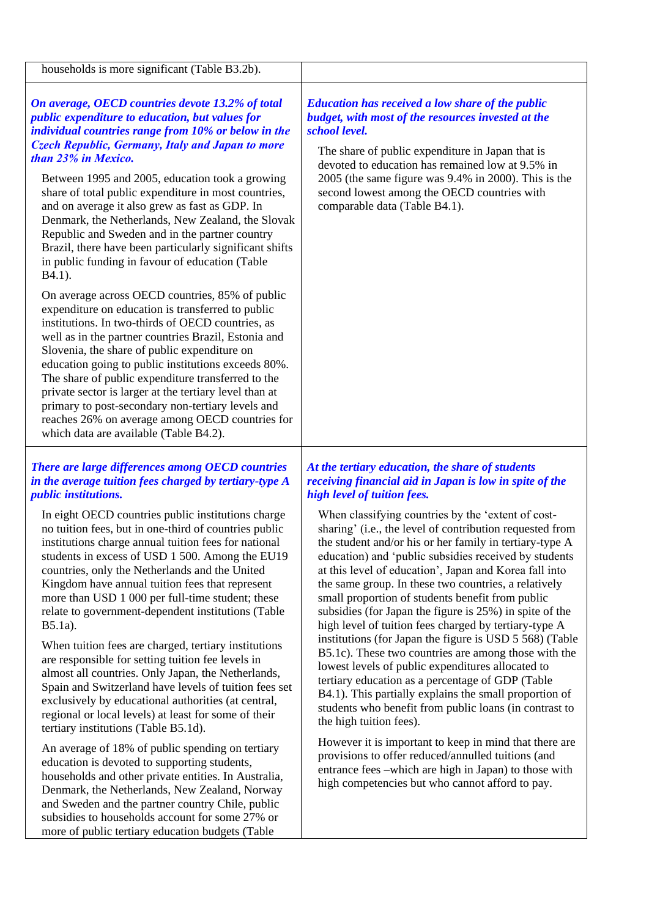| <b>Education has received a low share of the public</b><br>budget, with most of the resources invested at the<br>school level.<br>The share of public expenditure in Japan that is<br>devoted to education has remained low at 9.5% in<br>2005 (the same figure was 9.4% in 2000). This is the<br>second lowest among the OECD countries with<br>comparable data (Table B4.1).                                                                                                                                                                                                                                                                                                                                                                                                                                                                                                                                                                                                                                                                        |
|-------------------------------------------------------------------------------------------------------------------------------------------------------------------------------------------------------------------------------------------------------------------------------------------------------------------------------------------------------------------------------------------------------------------------------------------------------------------------------------------------------------------------------------------------------------------------------------------------------------------------------------------------------------------------------------------------------------------------------------------------------------------------------------------------------------------------------------------------------------------------------------------------------------------------------------------------------------------------------------------------------------------------------------------------------|
| At the tertiary education, the share of students<br>receiving financial aid in Japan is low in spite of the<br>high level of tuition fees.<br>When classifying countries by the 'extent of cost-<br>sharing' (i.e., the level of contribution requested from<br>the student and/or his or her family in tertiary-type A<br>education) and 'public subsidies received by students<br>at this level of education', Japan and Korea fall into<br>the same group. In these two countries, a relatively<br>small proportion of students benefit from public<br>subsidies (for Japan the figure is 25%) in spite of the<br>high level of tuition fees charged by tertiary-type A<br>institutions (for Japan the figure is USD 5 568) (Table<br>B5.1c). These two countries are among those with the<br>lowest levels of public expenditures allocated to<br>tertiary education as a percentage of GDP (Table<br>B4.1). This partially explains the small proportion of<br>students who benefit from public loans (in contrast to<br>the high tuition fees). |
|                                                                                                                                                                                                                                                                                                                                                                                                                                                                                                                                                                                                                                                                                                                                                                                                                                                                                                                                                                                                                                                       |

An average of 18% of public spending on tertiary education is devoted to supporting students, households and other private entities. In Australia, Denmark, the Netherlands, New Zealand, Norway and Sweden and the partner country Chile, public subsidies to households account for some 27% or more of public tertiary education budgets (Table

## However it is important to keep in mind that there are provisions to offer reduced/annulled tuitions (and entrance fees –which are high in Japan) to those with high competencies but who cannot afford to pay.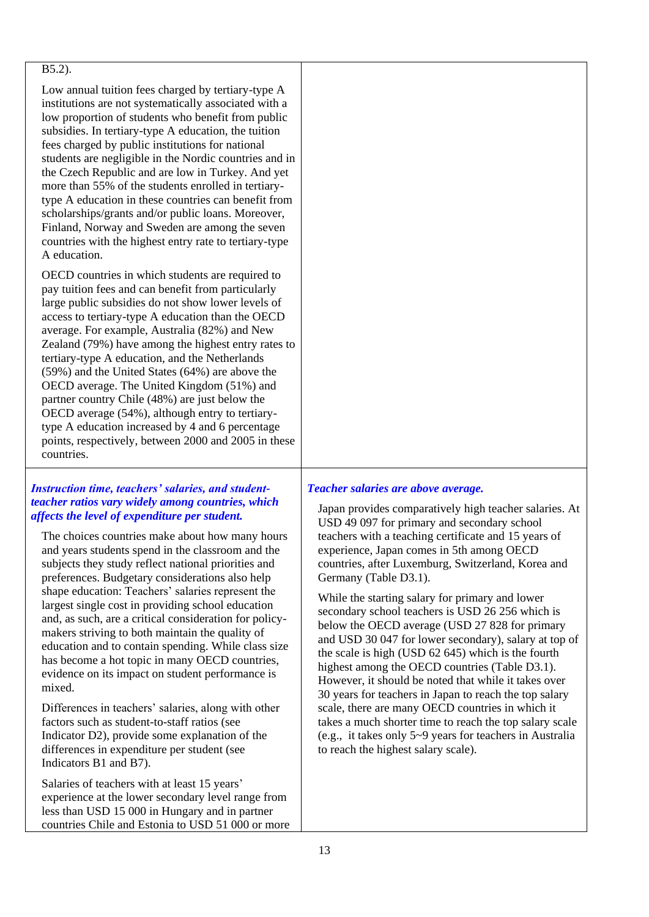#### B5.2).

Low annual tuition fees charged by tertiary-type A institutions are not systematically associated with a low proportion of students who benefit from public subsidies. In tertiary-type A education, the tuition fees charged by public institutions for national students are negligible in the Nordic countries and in the Czech Republic and are low in Turkey. And yet more than 55% of the students enrolled in tertiarytype A education in these countries can benefit from scholarships/grants and/or public loans. Moreover, Finland, Norway and Sweden are among the seven countries with the highest entry rate to tertiary-type A education.

OECD countries in which students are required to pay tuition fees and can benefit from particularly large public subsidies do not show lower levels of access to tertiary-type A education than the OECD average. For example, Australia (82%) and New Zealand (79%) have among the highest entry rates to tertiary-type A education, and the Netherlands (59%) and the United States (64%) are above the OECD average. The United Kingdom (51%) and partner country Chile (48%) are just below the OECD average (54%), although entry to tertiarytype A education increased by 4 and 6 percentage points, respectively, between 2000 and 2005 in these countries.

## *Instruction time, teachers' salaries, and studentteacher ratios vary widely among countries, which affects the level of expenditure per student.*

The choices countries make about how many hours and years students spend in the classroom and the subjects they study reflect national priorities and preferences. Budgetary considerations also help shape education: Teachers' salaries represent the largest single cost in providing school education and, as such, are a critical consideration for policymakers striving to both maintain the quality of education and to contain spending. While class size has become a hot topic in many OECD countries, evidence on its impact on student performance is mixed.

Differences in teachers' salaries, along with other factors such as student-to-staff ratios (see Indicator D2), provide some explanation of the differences in expenditure per student (see Indicators B1 and B7).

Salaries of teachers with at least 15 years' experience at the lower secondary level range from less than USD 15 000 in Hungary and in partner countries Chile and Estonia to USD 51 000 or more

## *Teacher salaries are above average.*

Japan provides comparatively high teacher salaries. At USD 49 097 for primary and secondary school teachers with a teaching certificate and 15 years of experience, Japan comes in 5th among OECD countries, after Luxemburg, Switzerland, Korea and Germany (Table D3.1).

While the starting salary for primary and lower secondary school teachers is USD 26 256 which is below the OECD average (USD 27 828 for primary and USD 30 047 for lower secondary), salary at top of the scale is high (USD 62 645) which is the fourth highest among the OECD countries (Table D3.1). However, it should be noted that while it takes over 30 years for teachers in Japan to reach the top salary scale, there are many OECD countries in which it takes a much shorter time to reach the top salary scale (e.g., it takes only 5~9 years for teachers in Australia to reach the highest salary scale).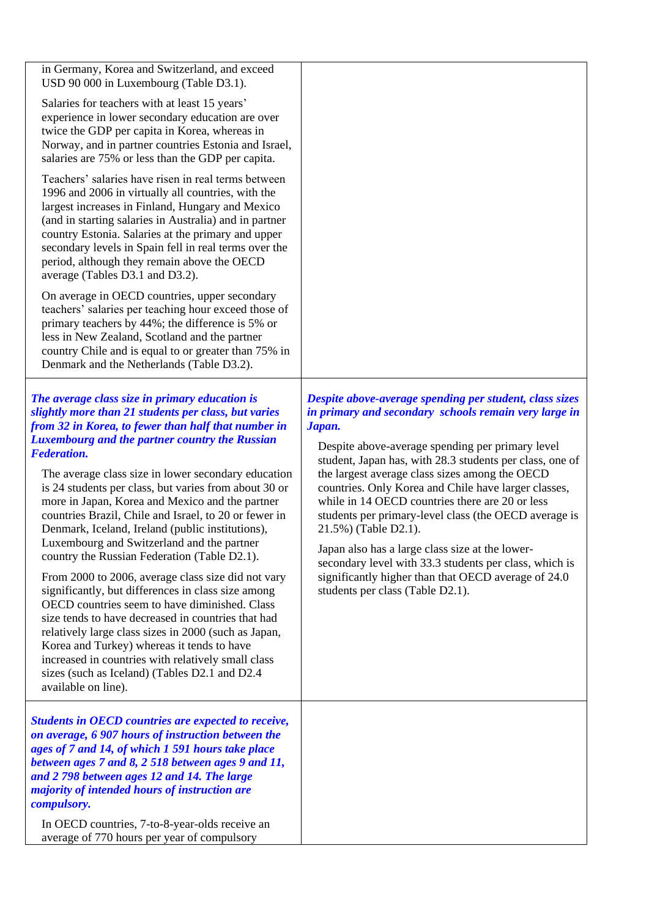| in Germany, Korea and Switzerland, and exceed<br>USD 90 000 in Luxembourg (Table D3.1).<br>Salaries for teachers with at least 15 years'<br>experience in lower secondary education are over<br>twice the GDP per capita in Korea, whereas in<br>Norway, and in partner countries Estonia and Israel,<br>salaries are 75% or less than the GDP per capita.<br>Teachers' salaries have risen in real terms between<br>1996 and 2006 in virtually all countries, with the<br>largest increases in Finland, Hungary and Mexico<br>(and in starting salaries in Australia) and in partner<br>country Estonia. Salaries at the primary and upper<br>secondary levels in Spain fell in real terms over the<br>period, although they remain above the OECD<br>average (Tables D3.1 and D3.2).<br>On average in OECD countries, upper secondary<br>teachers' salaries per teaching hour exceed those of<br>primary teachers by 44%; the difference is 5% or<br>less in New Zealand, Scotland and the partner<br>country Chile and is equal to or greater than 75% in<br>Denmark and the Netherlands (Table D3.2). |                                                                                                                                                                                                                                                                                                                                                                                                                                                                                                                                                                                                                                                                                                  |
|-----------------------------------------------------------------------------------------------------------------------------------------------------------------------------------------------------------------------------------------------------------------------------------------------------------------------------------------------------------------------------------------------------------------------------------------------------------------------------------------------------------------------------------------------------------------------------------------------------------------------------------------------------------------------------------------------------------------------------------------------------------------------------------------------------------------------------------------------------------------------------------------------------------------------------------------------------------------------------------------------------------------------------------------------------------------------------------------------------------|--------------------------------------------------------------------------------------------------------------------------------------------------------------------------------------------------------------------------------------------------------------------------------------------------------------------------------------------------------------------------------------------------------------------------------------------------------------------------------------------------------------------------------------------------------------------------------------------------------------------------------------------------------------------------------------------------|
| The average class size in primary education is<br>slightly more than 21 students per class, but varies<br>from 32 in Korea, to fewer than half that number in<br><b>Luxembourg and the partner country the Russian</b><br><b>Federation.</b><br>The average class size in lower secondary education<br>is 24 students per class, but varies from about 30 or<br>more in Japan, Korea and Mexico and the partner<br>countries Brazil, Chile and Israel, to 20 or fewer in<br>Denmark, Iceland, Ireland (public institutions),<br>Luxembourg and Switzerland and the partner<br>country the Russian Federation (Table D2.1).<br>From 2000 to 2006, average class size did not vary<br>significantly, but differences in class size among<br>OECD countries seem to have diminished. Class<br>size tends to have decreased in countries that had<br>relatively large class sizes in 2000 (such as Japan,<br>Korea and Turkey) whereas it tends to have<br>increased in countries with relatively small class<br>sizes (such as Iceland) (Tables D2.1 and D2.4<br>available on line).                         | Despite above-average spending per student, class sizes<br>in primary and secondary schools remain very large in<br>Japan.<br>Despite above-average spending per primary level<br>student, Japan has, with 28.3 students per class, one of<br>the largest average class sizes among the OECD<br>countries. Only Korea and Chile have larger classes,<br>while in 14 OECD countries there are 20 or less<br>students per primary-level class (the OECD average is<br>21.5%) (Table D2.1).<br>Japan also has a large class size at the lower-<br>secondary level with 33.3 students per class, which is<br>significantly higher than that OECD average of 24.0<br>students per class (Table D2.1). |
| Students in OECD countries are expected to receive,<br>on average, 6 907 hours of instruction between the<br>ages of 7 and 14, of which 1 591 hours take place<br>between ages 7 and 8, 2 518 between ages 9 and 11,<br>and 2 798 between ages 12 and 14. The large<br>majority of intended hours of instruction are<br><i>compulsory.</i><br>In OECD countries, 7-to-8-year-olds receive an<br>average of 770 hours per year of compulsory                                                                                                                                                                                                                                                                                                                                                                                                                                                                                                                                                                                                                                                               |                                                                                                                                                                                                                                                                                                                                                                                                                                                                                                                                                                                                                                                                                                  |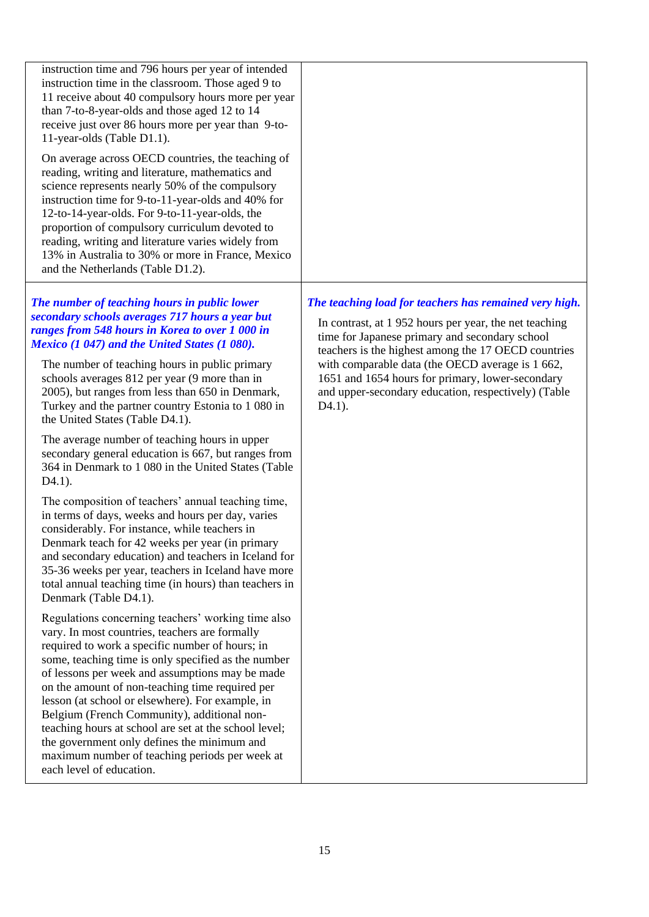| instruction time and 796 hours per year of intended<br>instruction time in the classroom. Those aged 9 to<br>11 receive about 40 compulsory hours more per year<br>than 7-to-8-year-olds and those aged 12 to 14<br>receive just over 86 hours more per year than 9-to-<br>11-year-olds (Table D1.1).<br>On average across OECD countries, the teaching of<br>reading, writing and literature, mathematics and<br>science represents nearly 50% of the compulsory<br>instruction time for 9-to-11-year-olds and 40% for<br>12-to-14-year-olds. For 9-to-11-year-olds, the<br>proportion of compulsory curriculum devoted to<br>reading, writing and literature varies widely from<br>13% in Australia to 30% or more in France, Mexico<br>and the Netherlands (Table D1.2).                                                                                                                                                                                                                                                                                                                                                                                                                                                                                                                                                                                                                                                                                                                                                                                                                                                                                       |                                                                                                                                                                                                                                                                                                                                                                                                                |
|-------------------------------------------------------------------------------------------------------------------------------------------------------------------------------------------------------------------------------------------------------------------------------------------------------------------------------------------------------------------------------------------------------------------------------------------------------------------------------------------------------------------------------------------------------------------------------------------------------------------------------------------------------------------------------------------------------------------------------------------------------------------------------------------------------------------------------------------------------------------------------------------------------------------------------------------------------------------------------------------------------------------------------------------------------------------------------------------------------------------------------------------------------------------------------------------------------------------------------------------------------------------------------------------------------------------------------------------------------------------------------------------------------------------------------------------------------------------------------------------------------------------------------------------------------------------------------------------------------------------------------------------------------------------|----------------------------------------------------------------------------------------------------------------------------------------------------------------------------------------------------------------------------------------------------------------------------------------------------------------------------------------------------------------------------------------------------------------|
| The number of teaching hours in public lower<br>secondary schools averages 717 hours a year but<br>ranges from 548 hours in Korea to over 1 000 in<br>Mexico (1 047) and the United States (1 080).<br>The number of teaching hours in public primary<br>schools averages 812 per year (9 more than in<br>2005), but ranges from less than 650 in Denmark,<br>Turkey and the partner country Estonia to 1 080 in<br>the United States (Table D4.1).<br>The average number of teaching hours in upper<br>secondary general education is 667, but ranges from<br>364 in Denmark to 1 080 in the United States (Table<br>$D4.1$ ).<br>The composition of teachers' annual teaching time,<br>in terms of days, weeks and hours per day, varies<br>considerably. For instance, while teachers in<br>Denmark teach for 42 weeks per year (in primary<br>and secondary education) and teachers in Iceland for<br>35-36 weeks per year, teachers in Iceland have more<br>total annual teaching time (in hours) than teachers in<br>Denmark (Table D4.1).<br>Regulations concerning teachers' working time also<br>vary. In most countries, teachers are formally<br>required to work a specific number of hours; in<br>some, teaching time is only specified as the number<br>of lessons per week and assumptions may be made<br>on the amount of non-teaching time required per<br>lesson (at school or elsewhere). For example, in<br>Belgium (French Community), additional non-<br>teaching hours at school are set at the school level;<br>the government only defines the minimum and<br>maximum number of teaching periods per week at<br>each level of education. | The teaching load for teachers has remained very high.<br>In contrast, at 1952 hours per year, the net teaching<br>time for Japanese primary and secondary school<br>teachers is the highest among the 17 OECD countries<br>with comparable data (the OECD average is 1 662,<br>1651 and 1654 hours for primary, lower-secondary<br>and upper-secondary education, respectively) (Table<br>D <sub>4.1</sub> ). |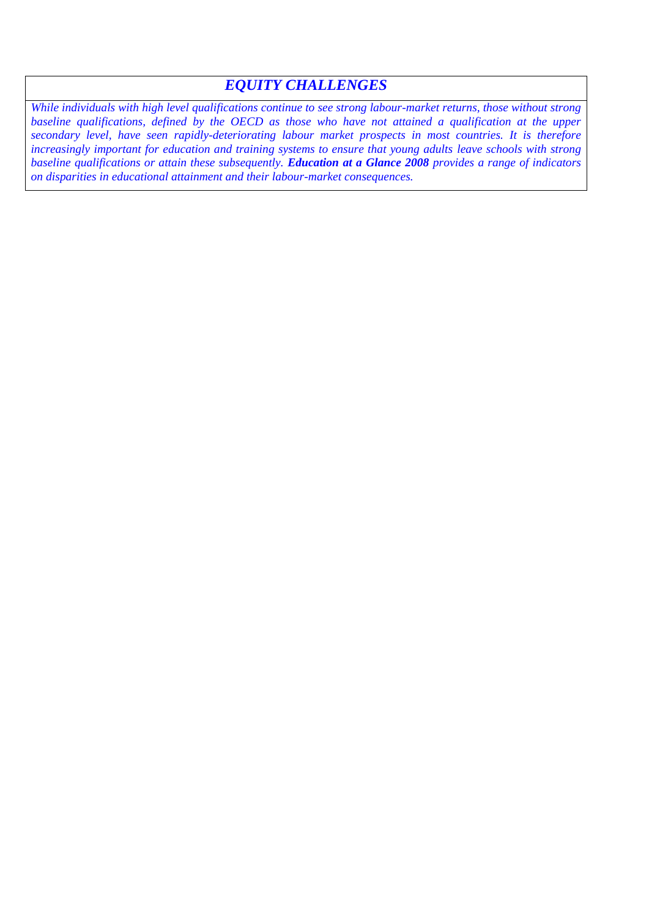## *EQUITY CHALLENGES*

*While individuals with high level qualifications continue to see strong labour-market returns, those without strong*  baseline qualifications, defined by the OECD as those who have not attained a qualification at the upper *secondary level, have seen rapidly-deteriorating labour market prospects in most countries. It is therefore increasingly important for education and training systems to ensure that young adults leave schools with strong baseline qualifications or attain these subsequently. Education at a Glance 2008 provides a range of indicators on disparities in educational attainment and their labour-market consequences.*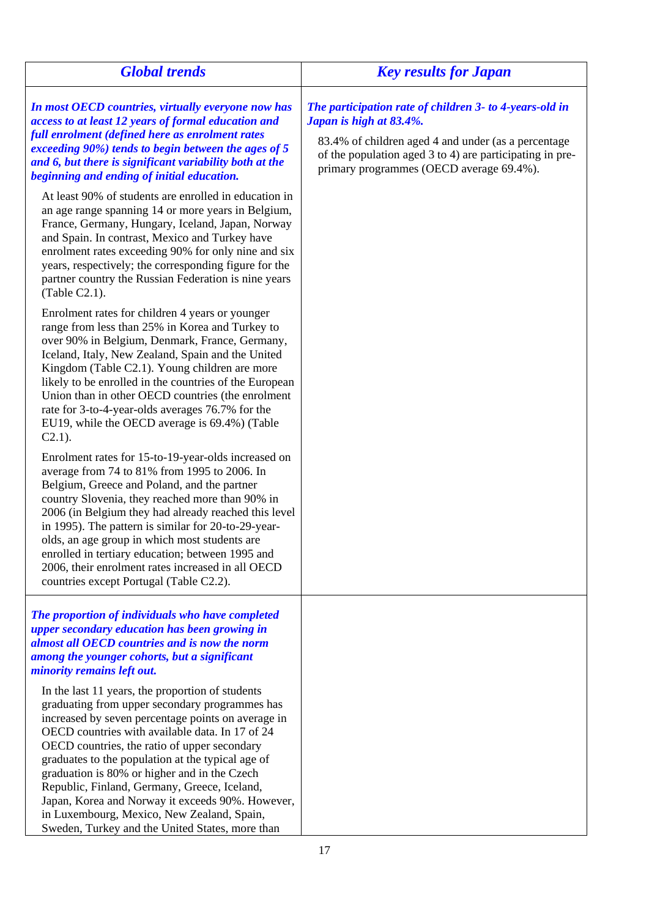| <b>Global trends</b>                                                                                                                                                                                                                                                                                                                                                                                                                                                                                                                                                  | <b>Key results for Japan</b>                                                                                                                                                                                                                      |
|-----------------------------------------------------------------------------------------------------------------------------------------------------------------------------------------------------------------------------------------------------------------------------------------------------------------------------------------------------------------------------------------------------------------------------------------------------------------------------------------------------------------------------------------------------------------------|---------------------------------------------------------------------------------------------------------------------------------------------------------------------------------------------------------------------------------------------------|
| In most OECD countries, virtually everyone now has<br>access to at least 12 years of formal education and<br>full enrolment (defined here as enrolment rates<br>exceeding 90%) tends to begin between the ages of 5<br>and 6, but there is significant variability both at the<br>beginning and ending of initial education.                                                                                                                                                                                                                                          | The participation rate of children 3- to 4-years-old in<br>Japan is high at 83.4%.<br>83.4% of children aged 4 and under (as a percentage<br>of the population aged 3 to 4) are participating in pre-<br>primary programmes (OECD average 69.4%). |
| At least 90% of students are enrolled in education in<br>an age range spanning 14 or more years in Belgium,<br>France, Germany, Hungary, Iceland, Japan, Norway<br>and Spain. In contrast, Mexico and Turkey have<br>enrolment rates exceeding 90% for only nine and six<br>years, respectively; the corresponding figure for the<br>partner country the Russian Federation is nine years<br>$(Table C2.1)$ .                                                                                                                                                         |                                                                                                                                                                                                                                                   |
| Enrolment rates for children 4 years or younger<br>range from less than 25% in Korea and Turkey to<br>over 90% in Belgium, Denmark, France, Germany,<br>Iceland, Italy, New Zealand, Spain and the United<br>Kingdom (Table C2.1). Young children are more<br>likely to be enrolled in the countries of the European<br>Union than in other OECD countries (the enrolment<br>rate for 3-to-4-year-olds averages 76.7% for the<br>EU19, while the OECD average is 69.4%) (Table<br>$C2.1$ ).                                                                           |                                                                                                                                                                                                                                                   |
| Enrolment rates for 15-to-19-year-olds increased on<br>average from 74 to 81% from 1995 to 2006. In<br>Belgium, Greece and Poland, and the partner<br>country Slovenia, they reached more than 90% in<br>2006 (in Belgium they had already reached this level<br>in 1995). The pattern is similar for 20-to-29-year-<br>olds, an age group in which most students are<br>enrolled in tertiary education; between 1995 and<br>2006, their enrolment rates increased in all OECD<br>countries except Portugal (Table C2.2).                                             |                                                                                                                                                                                                                                                   |
| The proportion of individuals who have completed<br>upper secondary education has been growing in<br>almost all OECD countries and is now the norm<br>among the younger cohorts, but a significant<br>minority remains left out.                                                                                                                                                                                                                                                                                                                                      |                                                                                                                                                                                                                                                   |
| In the last 11 years, the proportion of students<br>graduating from upper secondary programmes has<br>increased by seven percentage points on average in<br>OECD countries with available data. In 17 of 24<br>OECD countries, the ratio of upper secondary<br>graduates to the population at the typical age of<br>graduation is 80% or higher and in the Czech<br>Republic, Finland, Germany, Greece, Iceland,<br>Japan, Korea and Norway it exceeds 90%. However,<br>in Luxembourg, Mexico, New Zealand, Spain,<br>Sweden, Turkey and the United States, more than |                                                                                                                                                                                                                                                   |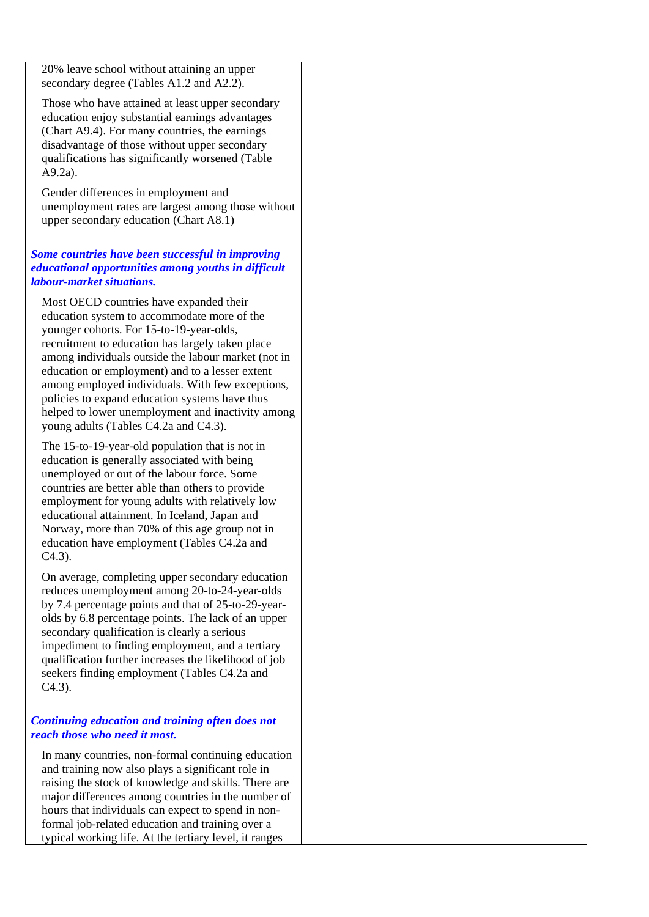| 20% leave school without attaining an upper<br>secondary degree (Tables A1.2 and A2.2).                                                                                                                                                                                                                                                                                                                                                                                                              |  |
|------------------------------------------------------------------------------------------------------------------------------------------------------------------------------------------------------------------------------------------------------------------------------------------------------------------------------------------------------------------------------------------------------------------------------------------------------------------------------------------------------|--|
| Those who have attained at least upper secondary<br>education enjoy substantial earnings advantages<br>(Chart A9.4). For many countries, the earnings<br>disadvantage of those without upper secondary<br>qualifications has significantly worsened (Table<br>$A9.2a$ ).                                                                                                                                                                                                                             |  |
| Gender differences in employment and<br>unemployment rates are largest among those without<br>upper secondary education (Chart A8.1)                                                                                                                                                                                                                                                                                                                                                                 |  |
| Some countries have been successful in improving<br>educational opportunities among youths in difficult<br>labour-market situations.                                                                                                                                                                                                                                                                                                                                                                 |  |
| Most OECD countries have expanded their<br>education system to accommodate more of the<br>younger cohorts. For 15-to-19-year-olds,<br>recruitment to education has largely taken place<br>among individuals outside the labour market (not in<br>education or employment) and to a lesser extent<br>among employed individuals. With few exceptions,<br>policies to expand education systems have thus<br>helped to lower unemployment and inactivity among<br>young adults (Tables C4.2a and C4.3). |  |
| The 15-to-19-year-old population that is not in<br>education is generally associated with being<br>unemployed or out of the labour force. Some<br>countries are better able than others to provide<br>employment for young adults with relatively low<br>educational attainment. In Iceland, Japan and<br>Norway, more than 70% of this age group not in<br>education have employment (Tables C4.2a and<br>$C4.3$ ).                                                                                 |  |
| On average, completing upper secondary education<br>reduces unemployment among 20-to-24-year-olds<br>by 7.4 percentage points and that of 25-to-29-year-<br>olds by 6.8 percentage points. The lack of an upper<br>secondary qualification is clearly a serious<br>impediment to finding employment, and a tertiary<br>qualification further increases the likelihood of job<br>seekers finding employment (Tables C4.2a and<br>$C4.3$ ).                                                            |  |
| <b>Continuing education and training often does not</b><br>reach those who need it most.                                                                                                                                                                                                                                                                                                                                                                                                             |  |
| In many countries, non-formal continuing education<br>and training now also plays a significant role in<br>raising the stock of knowledge and skills. There are<br>major differences among countries in the number of<br>hours that individuals can expect to spend in non-<br>formal job-related education and training over a<br>typical working life. At the tertiary level, it ranges                                                                                                            |  |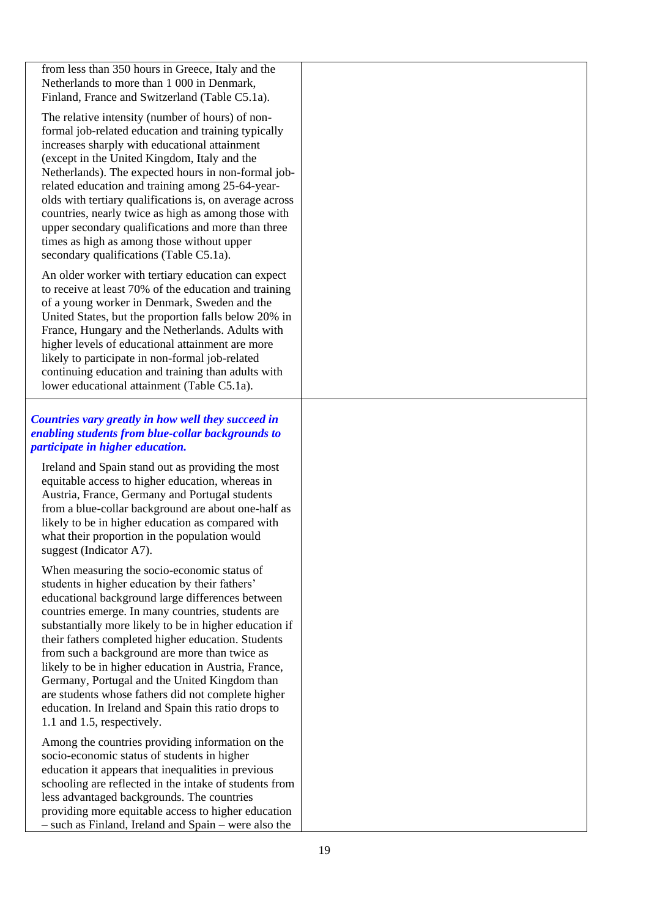from less than 350 hours in Greece, Italy and the Netherlands to more than 1 000 in Denmark, Finland, France and Switzerland (Table C5.1a).

The relative intensity (number of hours) of nonformal job-related education and training typically increases sharply with educational attainment (except in the United Kingdom, Italy and the Netherlands). The expected hours in non-formal jobrelated education and training among 25-64-yearolds with tertiary qualifications is, on average across countries, nearly twice as high as among those with upper secondary qualifications and more than three times as high as among those without upper secondary qualifications (Table C5.1a).

An older worker with tertiary education can expect to receive at least 70% of the education and training of a young worker in Denmark, Sweden and the United States, but the proportion falls below 20% in France, Hungary and the Netherlands. Adults with higher levels of educational attainment are more likely to participate in non-formal job-related continuing education and training than adults with lower educational attainment (Table C5.1a).

## *Countries vary greatly in how well they succeed in enabling students from blue-collar backgrounds to participate in higher education.*

Ireland and Spain stand out as providing the most equitable access to higher education, whereas in Austria, France, Germany and Portugal students from a blue-collar background are about one-half as likely to be in higher education as compared with what their proportion in the population would suggest (Indicator A7).

When measuring the socio-economic status of students in higher education by their fathers" educational background large differences between countries emerge. In many countries, students are substantially more likely to be in higher education if their fathers completed higher education. Students from such a background are more than twice as likely to be in higher education in Austria, France, Germany, Portugal and the United Kingdom than are students whose fathers did not complete higher education. In Ireland and Spain this ratio drops to 1.1 and 1.5, respectively.

Among the countries providing information on the socio-economic status of students in higher education it appears that inequalities in previous schooling are reflected in the intake of students from less advantaged backgrounds. The countries providing more equitable access to higher education – such as Finland, Ireland and Spain – were also the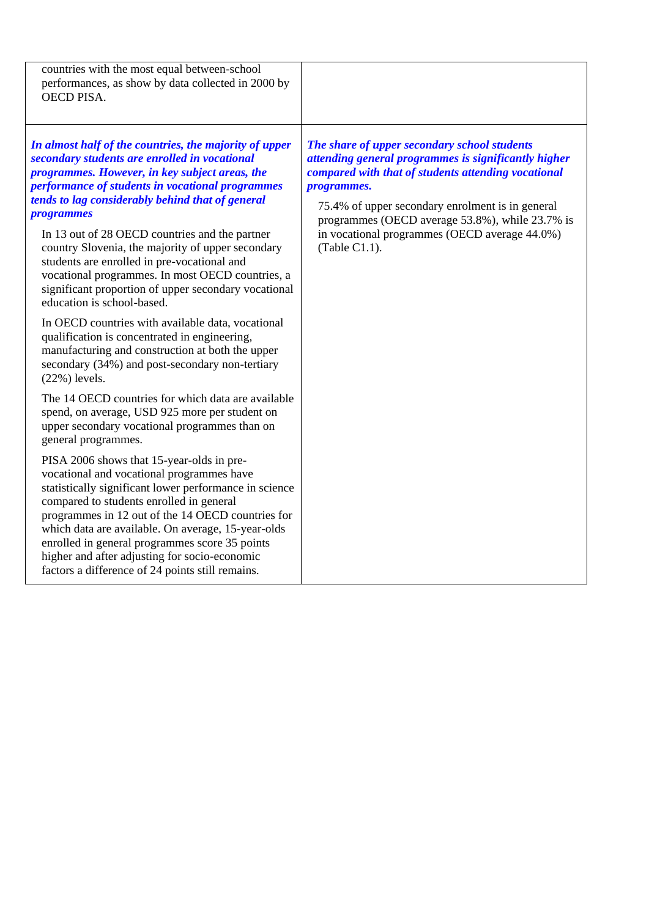| countries with the most equal between-school<br>performances, as show by data collected in 2000 by<br>OECD PISA.                                                                                                                                                                                                                                                                                                                                                                                                                                                                                                                                                                                                                                                                                                                                                                                                                                                                                                                                                                                                                                                                                                                                                                                                                                                                                                                                                         |                                                                                                                                                                                                                                                                                                                                                            |
|--------------------------------------------------------------------------------------------------------------------------------------------------------------------------------------------------------------------------------------------------------------------------------------------------------------------------------------------------------------------------------------------------------------------------------------------------------------------------------------------------------------------------------------------------------------------------------------------------------------------------------------------------------------------------------------------------------------------------------------------------------------------------------------------------------------------------------------------------------------------------------------------------------------------------------------------------------------------------------------------------------------------------------------------------------------------------------------------------------------------------------------------------------------------------------------------------------------------------------------------------------------------------------------------------------------------------------------------------------------------------------------------------------------------------------------------------------------------------|------------------------------------------------------------------------------------------------------------------------------------------------------------------------------------------------------------------------------------------------------------------------------------------------------------------------------------------------------------|
| In almost half of the countries, the majority of upper<br>secondary students are enrolled in vocational<br>programmes. However, in key subject areas, the<br>performance of students in vocational programmes<br>tends to lag considerably behind that of general<br><i>programmes</i><br>In 13 out of 28 OECD countries and the partner<br>country Slovenia, the majority of upper secondary<br>students are enrolled in pre-vocational and<br>vocational programmes. In most OECD countries, a<br>significant proportion of upper secondary vocational<br>education is school-based.<br>In OECD countries with available data, vocational<br>qualification is concentrated in engineering,<br>manufacturing and construction at both the upper<br>secondary (34%) and post-secondary non-tertiary<br>$(22%)$ levels.<br>The 14 OECD countries for which data are available<br>spend, on average, USD 925 more per student on<br>upper secondary vocational programmes than on<br>general programmes.<br>PISA 2006 shows that 15-year-olds in pre-<br>vocational and vocational programmes have<br>statistically significant lower performance in science<br>compared to students enrolled in general<br>programmes in 12 out of the 14 OECD countries for<br>which data are available. On average, 15-year-olds<br>enrolled in general programmes score 35 points<br>higher and after adjusting for socio-economic<br>factors a difference of 24 points still remains. | The share of upper secondary school students<br>attending general programmes is significantly higher<br>compared with that of students attending vocational<br><i>programmes.</i><br>75.4% of upper secondary enrolment is in general<br>programmes (OECD average 53.8%), while 23.7% is<br>in vocational programmes (OECD average 44.0%)<br>(Table C1.1). |